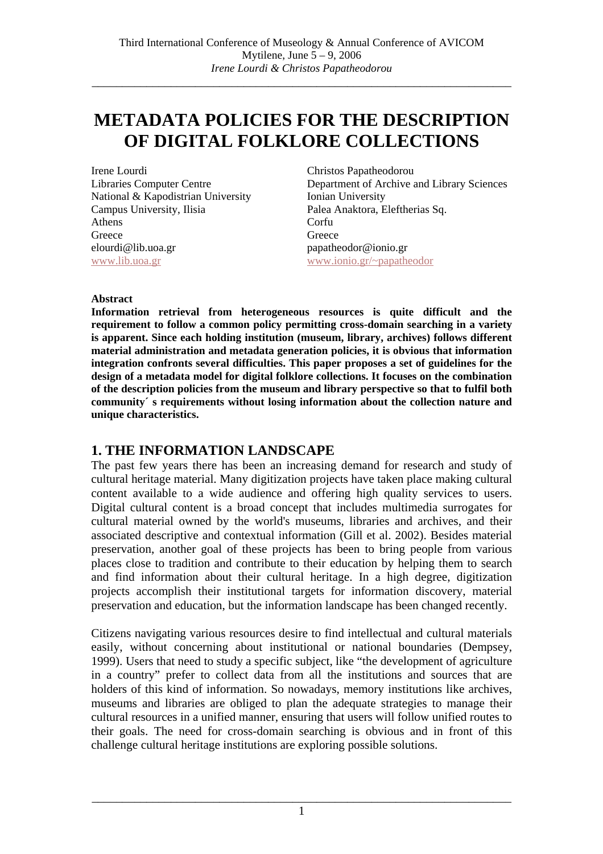# **METADATA POLICIES FOR THE DESCRIPTION OF DIGITAL FOLKLORE COLLECTIONS**

Irene Lourdi Libraries Computer Centre National & Kapodistrian University Campus University, Ilisia Athens **Greece** elourdi@lib.uoa.gr www.lib.uoa.gr

Christos Papatheodorou Department of Archive and Library Sciences Ionian University Palea Anaktora, Eleftherias Sq. Corfu **Greece** papatheodor@ionio.gr www.ionio.gr/~papatheodor

#### **Abstract**

**Information retrieval from heterogeneous resources is quite difficult and the requirement to follow a common policy permitting cross-domain searching in a variety is apparent. Since each holding institution (museum, library, archives) follows different material administration and metadata generation policies, it is obvious that information integration confronts several difficulties. This paper proposes a set of guidelines for the design of a metadata model for digital folklore collections. It focuses on the combination of the description policies from the museum and library perspective so that to fulfil both community´ s requirements without losing information about the collection nature and unique characteristics.** 

### **1. THE INFORMATION LANDSCAPE**

The past few years there has been an increasing demand for research and study of cultural heritage material. Many digitization projects have taken place making cultural content available to a wide audience and offering high quality services to users. Digital cultural content is a broad concept that includes multimedia surrogates for cultural material owned by the world's museums, libraries and archives, and their associated descriptive and contextual information (Gill et al. 2002). Besides material preservation, another goal of these projects has been to bring people from various places close to tradition and contribute to their education by helping them to search and find information about their cultural heritage. In a high degree, digitization projects accomplish their institutional targets for information discovery, material preservation and education, but the information landscape has been changed recently.

Citizens navigating various resources desire to find intellectual and cultural materials easily, without concerning about institutional or national boundaries (Dempsey, 1999). Users that need to study a specific subject, like "the development of agriculture in a country" prefer to collect data from all the institutions and sources that are holders of this kind of information. So nowadays, memory institutions like archives, museums and libraries are obliged to plan the adequate strategies to manage their cultural resources in a unified manner, ensuring that users will follow unified routes to their goals. The need for cross-domain searching is obvious and in front of this challenge cultural heritage institutions are exploring possible solutions.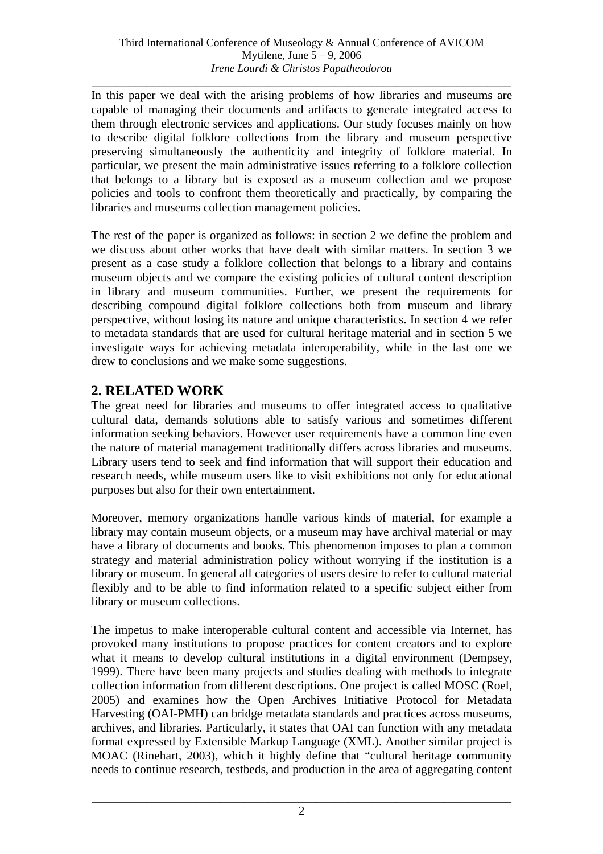*\_\_\_\_\_\_\_\_\_\_\_\_\_\_\_\_\_\_\_\_\_\_\_\_\_\_\_\_\_\_\_\_\_\_\_\_\_\_\_\_\_\_\_\_\_\_\_\_\_\_\_\_\_\_\_\_\_\_\_\_\_\_\_\_\_\_\_\_\_*  In this paper we deal with the arising problems of how libraries and museums are capable of managing their documents and artifacts to generate integrated access to them through electronic services and applications. Our study focuses mainly on how to describe digital folklore collections from the library and museum perspective preserving simultaneously the authenticity and integrity of folklore material. In particular, we present the main administrative issues referring to a folklore collection that belongs to a library but is exposed as a museum collection and we propose policies and tools to confront them theoretically and practically, by comparing the libraries and museums collection management policies.

The rest of the paper is organized as follows: in section 2 we define the problem and we discuss about other works that have dealt with similar matters. In section 3 we present as a case study a folklore collection that belongs to a library and contains museum objects and we compare the existing policies of cultural content description in library and museum communities. Further, we present the requirements for describing compound digital folklore collections both from museum and library perspective, without losing its nature and unique characteristics. In section 4 we refer to metadata standards that are used for cultural heritage material and in section 5 we investigate ways for achieving metadata interoperability, while in the last one we drew to conclusions and we make some suggestions.

### **2. RELATED WORK**

The great need for libraries and museums to offer integrated access to qualitative cultural data, demands solutions able to satisfy various and sometimes different information seeking behaviors. However user requirements have a common line even the nature of material management traditionally differs across libraries and museums. Library users tend to seek and find information that will support their education and research needs, while museum users like to visit exhibitions not only for educational purposes but also for their own entertainment.

Moreover, memory organizations handle various kinds of material, for example a library may contain museum objects, or a museum may have archival material or may have a library of documents and books. This phenomenon imposes to plan a common strategy and material administration policy without worrying if the institution is a library or museum. In general all categories of users desire to refer to cultural material flexibly and to be able to find information related to a specific subject either from library or museum collections.

The impetus to make interoperable cultural content and accessible via Internet, has provoked many institutions to propose practices for content creators and to explore what it means to develop cultural institutions in a digital environment (Dempsey, 1999). There have been many projects and studies dealing with methods to integrate collection information from different descriptions. One project is called MOSC (Roel, 2005) and examines how the Open Archives Initiative Protocol for Metadata Harvesting (OAI-PMH) can bridge metadata standards and practices across museums, archives, and libraries. Particularly, it states that OAI can function with any metadata format expressed by Extensible Markup Language (XML). Another similar project is MOAC (Rinehart, 2003), which it highly define that "cultural heritage community needs to continue research, testbeds, and production in the area of aggregating content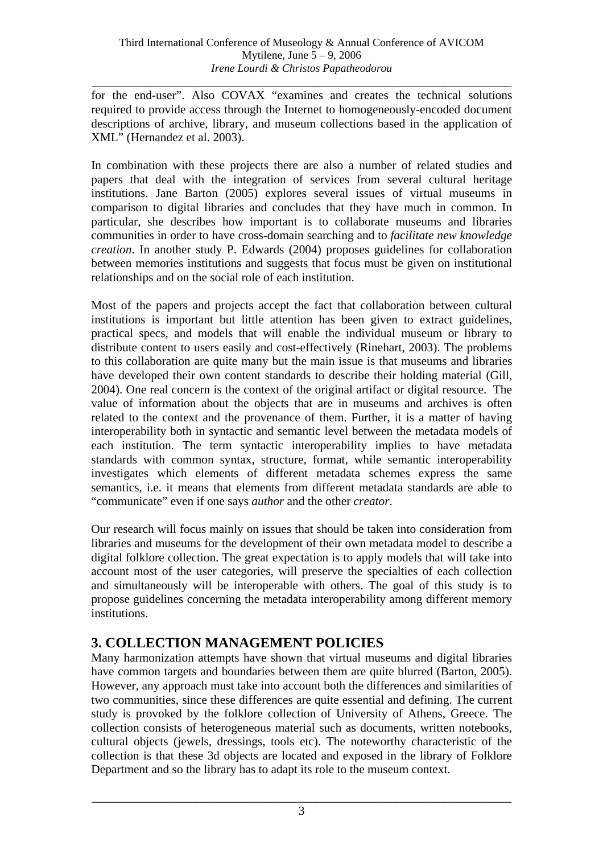*\_\_\_\_\_\_\_\_\_\_\_\_\_\_\_\_\_\_\_\_\_\_\_\_\_\_\_\_\_\_\_\_\_\_\_\_\_\_\_\_\_\_\_\_\_\_\_\_\_\_\_\_\_\_\_\_\_\_\_\_\_\_\_\_\_\_\_\_\_*  for the end-user". Also COVAX "examines and creates the technical solutions required to provide access through the Internet to homogeneously-encoded document descriptions of archive, library, and museum collections based in the application of XML" (Hernandez et al. 2003).

In combination with these projects there are also a number of related studies and papers that deal with the integration of services from several cultural heritage institutions. Jane Barton (2005) explores several issues of virtual museums in comparison to digital libraries and concludes that they have much in common. In particular, she describes how important is to collaborate museums and libraries communities in order to have cross-domain searching and to *facilitate new knowledge creation*. In another study P. Edwards (2004) proposes guidelines for collaboration between memories institutions and suggests that focus must be given on institutional relationships and on the social role of each institution.

Most of the papers and projects accept the fact that collaboration between cultural institutions is important but little attention has been given to extract guidelines, practical specs, and models that will enable the individual museum or library to distribute content to users easily and cost-effectively (Rinehart, 2003). The problems to this collaboration are quite many but the main issue is that museums and libraries have developed their own content standards to describe their holding material (Gill, 2004). One real concern is the context of the original artifact or digital resource. The value of information about the objects that are in museums and archives is often related to the context and the provenance of them. Further, it is a matter of having interoperability both in syntactic and semantic level between the metadata models of each institution. The term syntactic interoperability implies to have metadata standards with common syntax, structure, format, while semantic interoperability investigates which elements of different metadata schemes express the same semantics, i.e. it means that elements from different metadata standards are able to "communicate" even if one says *author* and the other *creator*.

Our research will focus mainly on issues that should be taken into consideration from libraries and museums for the development of their own metadata model to describe a digital folklore collection. The great expectation is to apply models that will take into account most of the user categories, will preserve the specialties of each collection and simultaneously will be interoperable with others. The goal of this study is to propose guidelines concerning the metadata interoperability among different memory institutions.

## **3. COLLECTION MANAGEMENT POLICIES**

Many harmonization attempts have shown that virtual museums and digital libraries have common targets and boundaries between them are quite blurred (Barton, 2005). However, any approach must take into account both the differences and similarities of two communities, since these differences are quite essential and defining. The current study is provoked by the folklore collection of University of Athens, Greece. The collection consists of heterogeneous material such as documents, written notebooks, cultural objects (jewels, dressings, tools etc). The noteworthy characteristic of the collection is that these 3d objects are located and exposed in the library of Folklore Department and so the library has to adapt its role to the museum context.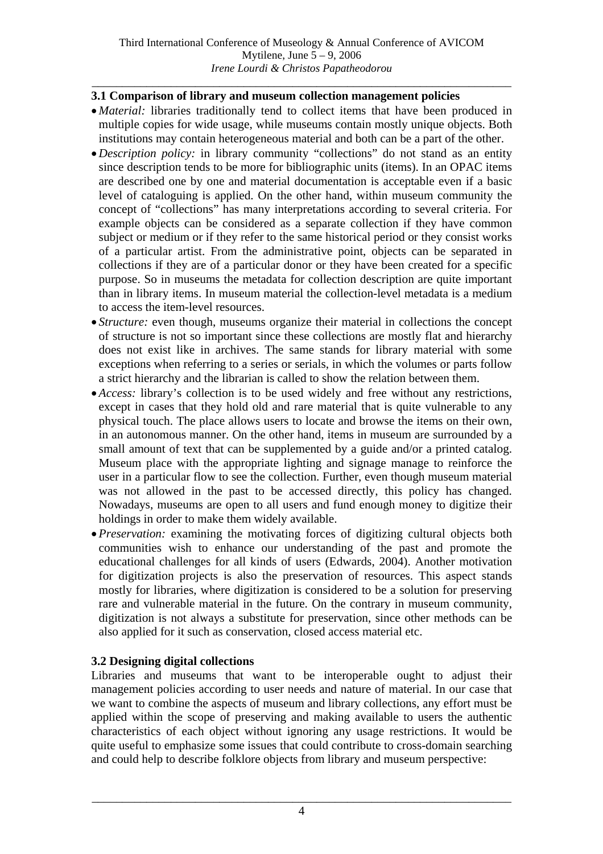#### *\_\_\_\_\_\_\_\_\_\_\_\_\_\_\_\_\_\_\_\_\_\_\_\_\_\_\_\_\_\_\_\_\_\_\_\_\_\_\_\_\_\_\_\_\_\_\_\_\_\_\_\_\_\_\_\_\_\_\_\_\_\_\_\_\_\_\_\_\_*  **3.1 Comparison of library and museum collection management policies**

- *Material:* libraries traditionally tend to collect items that have been produced in multiple copies for wide usage, while museums contain mostly unique objects. Both institutions may contain heterogeneous material and both can be a part of the other.
- *Description policy:* in library community "collections" do not stand as an entity since description tends to be more for bibliographic units (items). In an OPAC items are described one by one and material documentation is acceptable even if a basic level of cataloguing is applied. On the other hand, within museum community the concept of "collections" has many interpretations according to several criteria. For example objects can be considered as a separate collection if they have common subject or medium or if they refer to the same historical period or they consist works of a particular artist. From the administrative point, objects can be separated in collections if they are of a particular donor or they have been created for a specific purpose. So in museums the metadata for collection description are quite important than in library items. In museum material the collection-level metadata is a medium to access the item-level resources.
- *Structure:* even though, museums organize their material in collections the concept of structure is not so important since these collections are mostly flat and hierarchy does not exist like in archives. The same stands for library material with some exceptions when referring to a series or serials, in which the volumes or parts follow a strict hierarchy and the librarian is called to show the relation between them.
- *Access:* library's collection is to be used widely and free without any restrictions, except in cases that they hold old and rare material that is quite vulnerable to any physical touch. The place allows users to locate and browse the items on their own, in an autonomous manner. On the other hand, items in museum are surrounded by a small amount of text that can be supplemented by a guide and/or a printed catalog. Museum place with the appropriate lighting and signage manage to reinforce the user in a particular flow to see the collection. Further, even though museum material was not allowed in the past to be accessed directly, this policy has changed. Nowadays, museums are open to all users and fund enough money to digitize their holdings in order to make them widely available.
- *Preservation:* examining the motivating forces of digitizing cultural objects both communities wish to enhance our understanding of the past and promote the educational challenges for all kinds of users (Edwards, 2004). Another motivation for digitization projects is also the preservation of resources. This aspect stands mostly for libraries, where digitization is considered to be a solution for preserving rare and vulnerable material in the future. On the contrary in museum community, digitization is not always a substitute for preservation, since other methods can be also applied for it such as conservation, closed access material etc.

#### **3.2 Designing digital collections**

Libraries and museums that want to be interoperable ought to adjust their management policies according to user needs and nature of material. In our case that we want to combine the aspects of museum and library collections, any effort must be applied within the scope of preserving and making available to users the authentic characteristics of each object without ignoring any usage restrictions. It would be quite useful to emphasize some issues that could contribute to cross-domain searching and could help to describe folklore objects from library and museum perspective: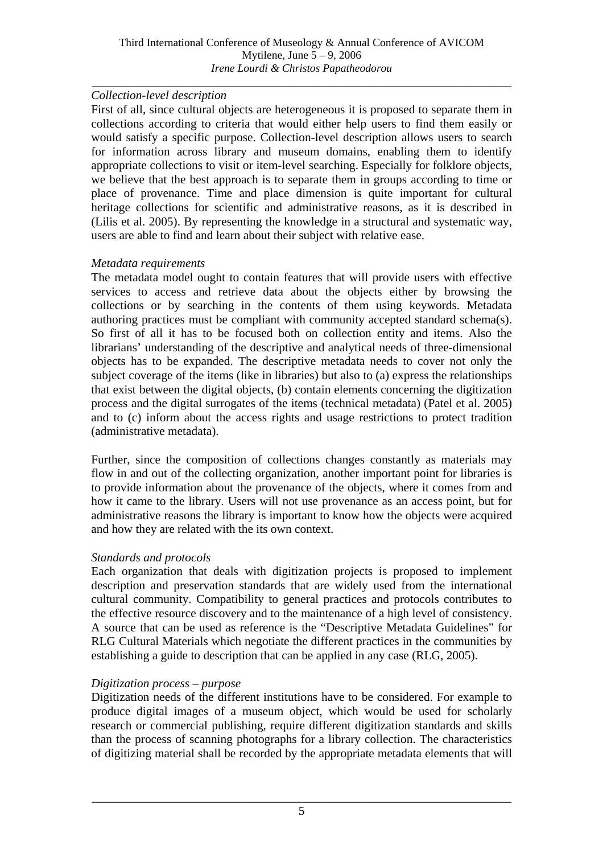#### *Collection-level description*

First of all, since cultural objects are heterogeneous it is proposed to separate them in collections according to criteria that would either help users to find them easily or would satisfy a specific purpose. Collection-level description allows users to search for information across library and museum domains, enabling them to identify appropriate collections to visit or item-level searching. Especially for folklore objects, we believe that the best approach is to separate them in groups according to time or place of provenance. Time and place dimension is quite important for cultural heritage collections for scientific and administrative reasons, as it is described in (Lilis et al. 2005). By representing the knowledge in a structural and systematic way, users are able to find and learn about their subject with relative ease.

#### *Metadata requirements*

The metadata model ought to contain features that will provide users with effective services to access and retrieve data about the objects either by browsing the collections or by searching in the contents of them using keywords. Metadata authoring practices must be compliant with community accepted standard schema(s). So first of all it has to be focused both on collection entity and items. Also the librarians' understanding of the descriptive and analytical needs of three-dimensional objects has to be expanded. The descriptive metadata needs to cover not only the subject coverage of the items (like in libraries) but also to (a) express the relationships that exist between the digital objects, (b) contain elements concerning the digitization process and the digital surrogates of the items (technical metadata) (Patel et al. 2005) and to (c) inform about the access rights and usage restrictions to protect tradition (administrative metadata).

Further, since the composition of collections changes constantly as materials may flow in and out of the collecting organization, another important point for libraries is to provide information about the provenance of the objects, where it comes from and how it came to the library. Users will not use provenance as an access point, but for administrative reasons the library is important to know how the objects were acquired and how they are related with the its own context.

#### *Standards and protocols*

Each organization that deals with digitization projects is proposed to implement description and preservation standards that are widely used from the international cultural community. Compatibility to general practices and protocols contributes to the effective resource discovery and to the maintenance of a high level of consistency. A source that can be used as reference is the "Descriptive Metadata Guidelines" for RLG Cultural Materials which negotiate the different practices in the communities by establishing a guide to description that can be applied in any case (RLG, 2005).

#### *Digitization process – purpose*

Digitization needs of the different institutions have to be considered. For example to produce digital images of a museum object, which would be used for scholarly research or commercial publishing, require different digitization standards and skills than the process of scanning photographs for a library collection. The characteristics of digitizing material shall be recorded by the appropriate metadata elements that will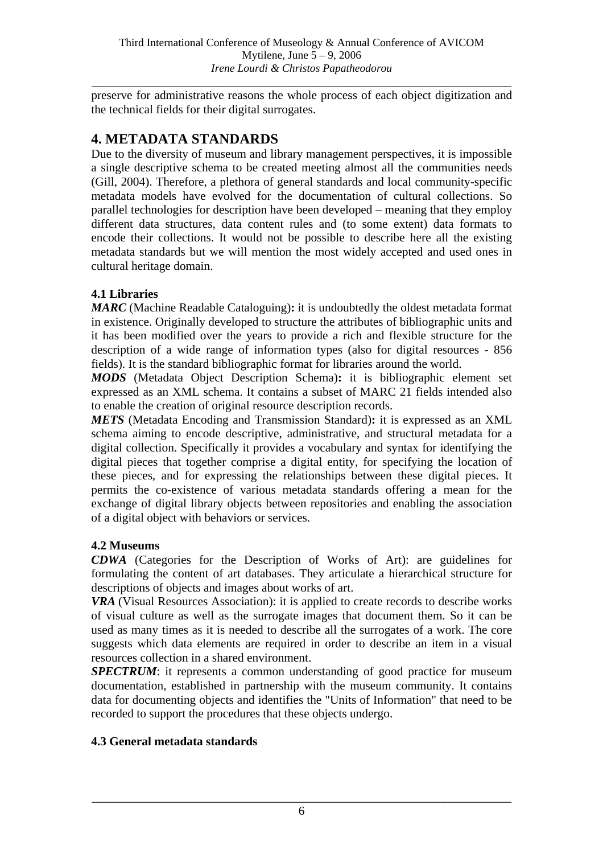preserve for administrative reasons the whole process of each object digitization and the technical fields for their digital surrogates.

### **4. METADATA STANDARDS**

Due to the diversity of museum and library management perspectives, it is impossible a single descriptive schema to be created meeting almost all the communities needs (Gill, 2004). Therefore, a plethora of general standards and local community-specific metadata models have evolved for the documentation of cultural collections. So parallel technologies for description have been developed – meaning that they employ different data structures, data content rules and (to some extent) data formats to encode their collections. It would not be possible to describe here all the existing metadata standards but we will mention the most widely accepted and used ones in cultural heritage domain.

#### **4.1 Libraries**

*MARC* (Machine Readable Cataloguing)**:** it is undoubtedly the oldest metadata format in existence. Originally developed to structure the attributes of bibliographic units and it has been modified over the years to provide a rich and flexible structure for the description of a wide range of information types (also for digital resources - 856 fields). It is the standard bibliographic format for libraries around the world.

*MODS* (Metadata Object Description Schema)**:** it is bibliographic element set expressed as an XML schema. It contains a subset of MARC 21 fields intended also to enable the creation of original resource description records.

*METS* (Metadata Encoding and Transmission Standard)**:** it is expressed as an XML schema aiming to encode descriptive, administrative, and structural metadata for a digital collection. Specifically it provides a vocabulary and syntax for identifying the digital pieces that together comprise a digital entity, for specifying the location of these pieces, and for expressing the relationships between these digital pieces. It permits the co-existence of various metadata standards offering a mean for the exchange of digital library objects between repositories and enabling the association of a digital object with behaviors or services.

#### **4.2 Museums**

*CDWA* (Categories for the Description of Works of Art): are guidelines for formulating the content of art databases. They articulate a hierarchical structure for descriptions of objects and images about works of art.

*VRA* (Visual Resources Association): it is applied to create records to describe works of visual culture as well as the surrogate images that document them. So it can be used as many times as it is needed to describe all the surrogates of a work. The core suggests which data elements are required in order to describe an item in a visual resources collection in a shared environment.

*SPECTRUM*: it represents a common understanding of good practice for museum documentation, established in partnership with the museum community. It contains data for documenting objects and identifies the "Units of Information" that need to be recorded to support the procedures that these objects undergo.

### **4.3 General metadata standards**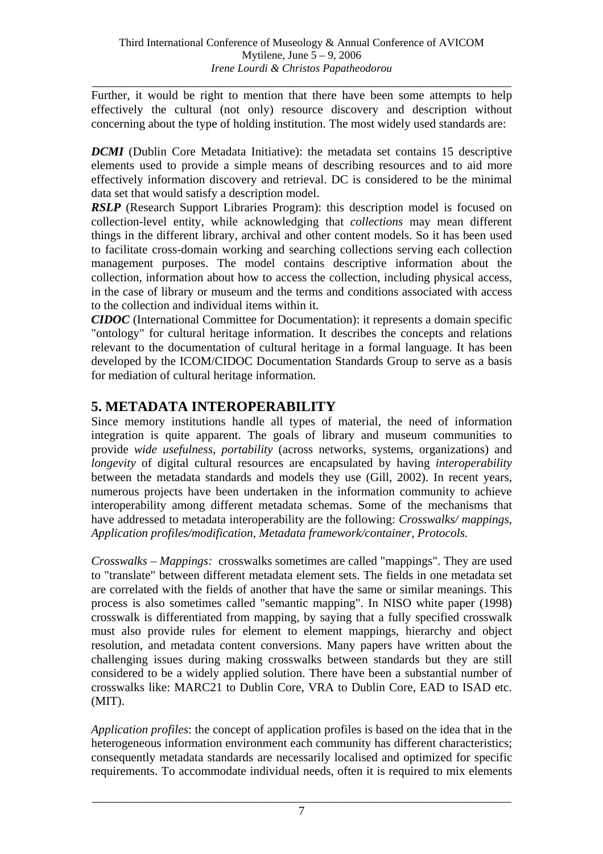*\_\_\_\_\_\_\_\_\_\_\_\_\_\_\_\_\_\_\_\_\_\_\_\_\_\_\_\_\_\_\_\_\_\_\_\_\_\_\_\_\_\_\_\_\_\_\_\_\_\_\_\_\_\_\_\_\_\_\_\_\_\_\_\_\_\_\_\_\_*  Further, it would be right to mention that there have been some attempts to help effectively the cultural (not only) resource discovery and description without concerning about the type of holding institution. The most widely used standards are:

*DCMI* (Dublin Core Metadata Initiative): the metadata set contains 15 descriptive elements used to provide a simple means of describing resources and to aid more effectively information discovery and retrieval. DC is considered to be the minimal data set that would satisfy a description model.

*RSLP* (Research Support Libraries Program): this description model is focused on collection-level entity, while acknowledging that *collections* may mean different things in the different library, archival and other content models. So it has been used to facilitate cross-domain working and searching collections serving each collection management purposes. The model contains descriptive information about the collection, information about how to access the collection, including physical access, in the case of library or museum and the terms and conditions associated with access to the collection and individual items within it.

*CIDOC* (International Committee for Documentation): it represents a domain specific "ontology" for cultural heritage information. It describes the concepts and relations relevant to the documentation of cultural heritage in a formal language. It has been developed by the ICOM/CIDOC Documentation Standards Group to serve as a basis for mediation of cultural heritage information.

### **5. METADATA INTEROPERABILITY**

Since memory institutions handle all types of material, the need of information integration is quite apparent. The goals of library and museum communities to provide *wide usefulness*, *portability* (across networks, systems, organizations) and *longevity* of digital cultural resources are encapsulated by having *interoperability* between the metadata standards and models they use (Gill, 2002). In recent years, numerous projects have been undertaken in the information community to achieve interoperability among different metadata schemas. Some of the mechanisms that have addressed to metadata interoperability are the following: *Crosswalks/ mappings, Application profiles/modification, Metadata framework/container, Protocols.* 

*Crosswalks – Mappings:* crosswalks sometimes are called "mappings". They are used to "translate" between different metadata element sets. The fields in one metadata set are correlated with the fields of another that have the same or similar meanings. This process is also sometimes called "semantic mapping". In NISO white paper (1998) crosswalk is differentiated from mapping, by saying that a fully specified crosswalk must also provide rules for element to element mappings, hierarchy and object resolution, and metadata content conversions. Many papers have written about the challenging issues during making crosswalks between standards but they are still considered to be a widely applied solution. There have been a substantial number of crosswalks like: MARC21 to Dublin Core, VRA to Dublin Core, EAD to ISAD etc. (MIT).

*Application profiles*: the concept of application profiles is based on the idea that in the heterogeneous information environment each community has different characteristics; consequently metadata standards are necessarily localised and optimized for specific requirements. To accommodate individual needs, often it is required to mix elements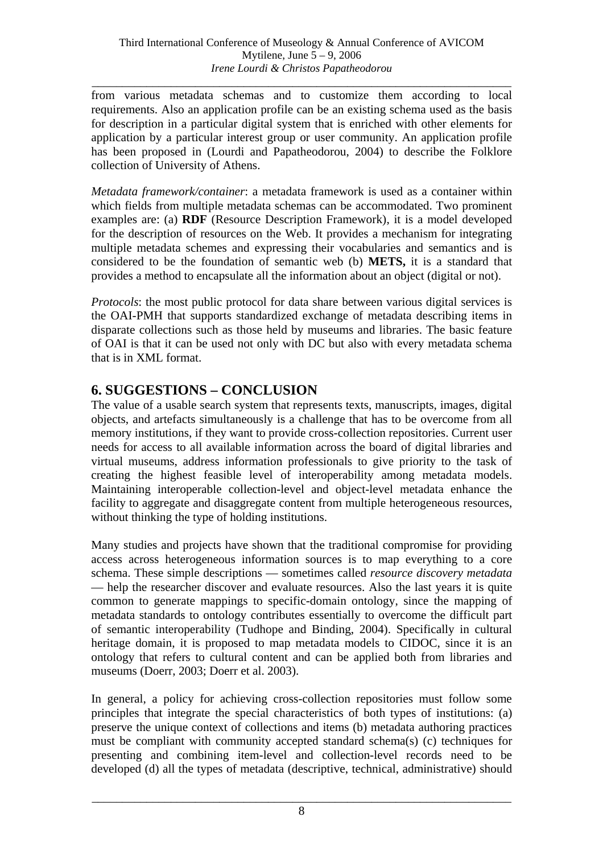*\_\_\_\_\_\_\_\_\_\_\_\_\_\_\_\_\_\_\_\_\_\_\_\_\_\_\_\_\_\_\_\_\_\_\_\_\_\_\_\_\_\_\_\_\_\_\_\_\_\_\_\_\_\_\_\_\_\_\_\_\_\_\_\_\_\_\_\_\_*  from various metadata schemas and to customize them according to local requirements. Also an application profile can be an existing schema used as the basis for description in a particular digital system that is enriched with other elements for application by a particular interest group or user community. An application profile has been proposed in (Lourdi and Papatheodorou, 2004) to describe the Folklore collection of University of Athens.

*Metadata framework/container*: a metadata framework is used as a container within which fields from multiple metadata schemas can be accommodated. Two prominent examples are: (a) **RDF** (Resource Description Framework), it is a model developed for the description of resources on the Web. It provides a mechanism for integrating multiple metadata schemes and expressing their vocabularies and semantics and is considered to be the foundation of semantic web (b) **METS,** it is a standard that provides a method to encapsulate all the information about an object (digital or not).

*Protocols*: the most public protocol for data share between various digital services is the OAI-PMH that supports standardized exchange of metadata describing items in disparate collections such as those held by museums and libraries. The basic feature of OAI is that it can be used not only with DC but also with every metadata schema that is in XML format.

## **6. SUGGESTIONS – CONCLUSION**

The value of a usable search system that represents texts, manuscripts, images, digital objects, and artefacts simultaneously is a challenge that has to be overcome from all memory institutions, if they want to provide cross-collection repositories. Current user needs for access to all available information across the board of digital libraries and virtual museums, address information professionals to give priority to the task of creating the highest feasible level of interoperability among metadata models. Maintaining interoperable collection-level and object-level metadata enhance the facility to aggregate and disaggregate content from multiple heterogeneous resources, without thinking the type of holding institutions.

Many studies and projects have shown that the traditional compromise for providing access across heterogeneous information sources is to map everything to a core schema. These simple descriptions — sometimes called *resource discovery metadata* — help the researcher discover and evaluate resources. Also the last years it is quite common to generate mappings to specific-domain ontology, since the mapping of metadata standards to ontology contributes essentially to overcome the difficult part of semantic interoperability (Tudhope and Binding, 2004). Specifically in cultural heritage domain, it is proposed to map metadata models to CIDOC, since it is an ontology that refers to cultural content and can be applied both from libraries and museums (Doerr, 2003; Doerr et al. 2003).

In general, a policy for achieving cross-collection repositories must follow some principles that integrate the special characteristics of both types of institutions: (a) preserve the unique context of collections and items (b) metadata authoring practices must be compliant with community accepted standard schema(s) (c) techniques for presenting and combining item-level and collection-level records need to be developed (d) all the types of metadata (descriptive, technical, administrative) should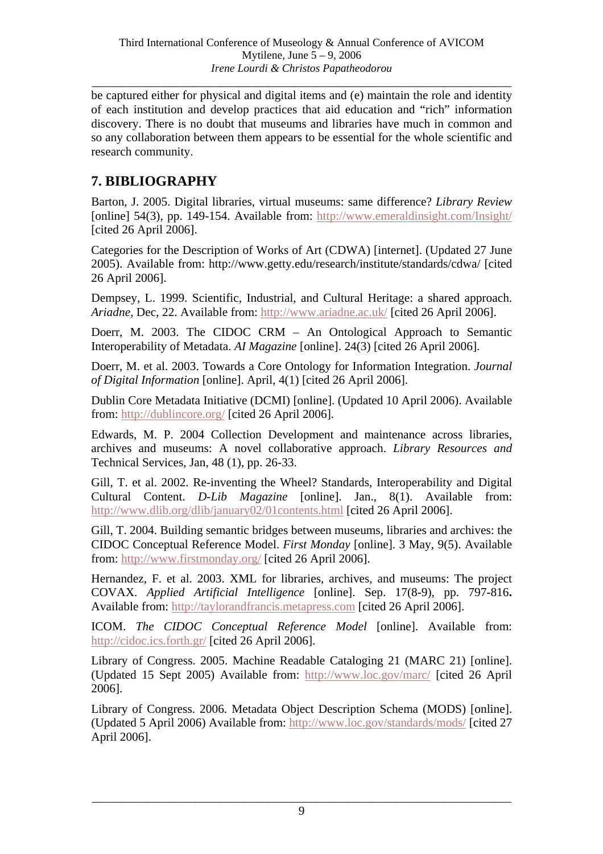*\_\_\_\_\_\_\_\_\_\_\_\_\_\_\_\_\_\_\_\_\_\_\_\_\_\_\_\_\_\_\_\_\_\_\_\_\_\_\_\_\_\_\_\_\_\_\_\_\_\_\_\_\_\_\_\_\_\_\_\_\_\_\_\_\_\_\_\_\_* 

be captured either for physical and digital items and (e) maintain the role and identity of each institution and develop practices that aid education and "rich" information discovery. There is no doubt that museums and libraries have much in common and so any collaboration between them appears to be essential for the whole scientific and research community.

## **7. BIBLIOGRAPHY**

Barton, J. 2005. Digital libraries, virtual museums: same difference? *Library Review*  [online] 54(3), pp. 149-154. Available from: http://www.emeraldinsight.com/Insight/ [cited 26 April 2006].

Categories for the Description of Works of Art (CDWA) [internet]. (Updated 27 June 2005). Available from: http://www.getty.edu/research/institute/standards/cdwa/ [cited 26 April 2006].

Dempsey, L. 1999. Scientific, Industrial, and Cultural Heritage: a shared approach. *Ariadne,* Dec, 22. Available from: http://www.ariadne.ac.uk/ [cited 26 April 2006].

Doerr, M. 2003. The CIDOC CRM – An Ontological Approach to Semantic Interoperability of Metadata. *AI Magazine* [online]. 24(3) [cited 26 April 2006].

Doerr, M. et al. 2003. Towards a Core Ontology for Information Integration. *Journal of Digital Information* [online]. April, 4(1) [cited 26 April 2006].

Dublin Core Metadata Initiative (DCMI) [online]. (Updated 10 April 2006). Available from: http://dublincore.org/ [cited 26 April 2006].

Edwards, M. P. 2004 Collection Development and maintenance across libraries, archives and museums: A novel collaborative approach. *Library Resources and*  Technical Services, Jan, 48 (1), pp. 26-33.

Gill, T. et al. 2002. Re-inventing the Wheel? Standards, Interoperability and Digital Cultural Content. *D-Lib Magazine* [online]. Jan., 8(1). Available from: http://www.dlib.org/dlib/january02/01contents.html [cited 26 April 2006].

Gill, T. 2004. Building semantic bridges between museums, libraries and archives: the CIDOC Conceptual Reference Model. *First Monday* [online]. 3 May, 9(5). Available from: http://www.firstmonday.org/ [cited 26 April 2006].

Hernandez, F. et al. 2003. XML for libraries, archives, and museums: The project COVAX. *Applied Artificial Intelligence* [online]. Sep. 17(8-9), pp. 797-816**.** Available from: http://taylorandfrancis.metapress.com [cited 26 April 2006].

ICOM. *The CIDOC Conceptual Reference Model* [online]. Available from: http://cidoc.ics.forth.gr/ [cited 26 April 2006].

Library of Congress. 2005. Machine Readable Cataloging 21 (MARC 21) [online]. (Updated 15 Sept 2005) Available from: http://www.loc.gov/marc/ [cited 26 April 2006].

Library of Congress. 2006. Metadata Object Description Schema (MODS) [online]. (Updated 5 April 2006) Available from: http://www.loc.gov/standards/mods/ [cited 27 April 2006].